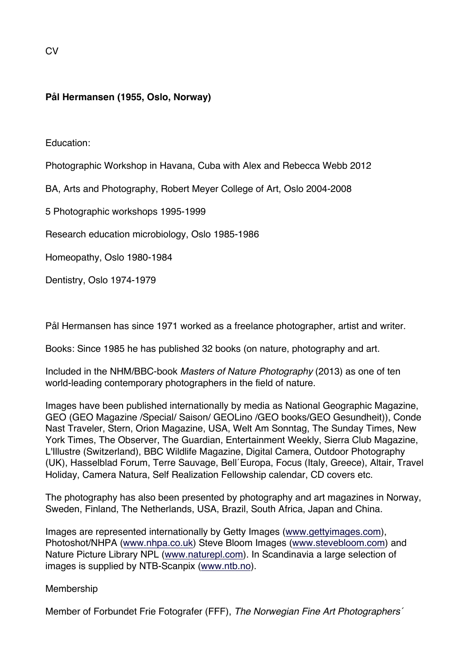# **Pål Hermansen (1955, Oslo, Norway)**

Education:

Photographic Workshop in Havana, Cuba with Alex and Rebecca Webb 2012

BA, Arts and Photography, Robert Meyer College of Art, Oslo 2004-2008

5 Photographic workshops 1995-1999

Research education microbiology, Oslo 1985-1986

Homeopathy, Oslo 1980-1984

Dentistry, Oslo 1974-1979

Pål Hermansen has since 1971 worked as a freelance photographer, artist and writer.

Books: Since 1985 he has published 32 books (on nature, photography and art.

Included in the NHM/BBC-book *Masters of Nature Photography* (2013) as one of ten world-leading contemporary photographers in the field of nature.

Images have been published internationally by media as National Geographic Magazine, GEO (GEO Magazine /Special/ Saison/ GEOLino /GEO books/GEO Gesundheit)), Conde Nast Traveler, Stern, Orion Magazine, USA, Welt Am Sonntag, The Sunday Times, New York Times, The Observer, The Guardian, Entertainment Weekly, Sierra Club Magazine, L'Illustre (Switzerland), BBC Wildlife Magazine, Digital Camera, Outdoor Photography (UK), Hasselblad Forum, Terre Sauvage, Bell´Europa, Focus (Italy, Greece), Altair, Travel Holiday, Camera Natura, Self Realization Fellowship calendar, CD covers etc.

The photography has also been presented by photography and art magazines in Norway, Sweden, Finland, The Netherlands, USA, Brazil, South Africa, Japan and China.

Images are represented internationally by Getty Images (www.gettyimages.com), Photoshot/NHPA (www.nhpa.co.uk) Steve Bloom Images (www.stevebloom.com) and Nature Picture Library NPL (www.naturepl.com). In Scandinavia a large selection of images is supplied by NTB-Scanpix (www.ntb.no).

**Membership** 

Member of Forbundet Frie Fotografer (FFF), *The Norwegian Fine Art Photographers´*

 $C<sub>V</sub>$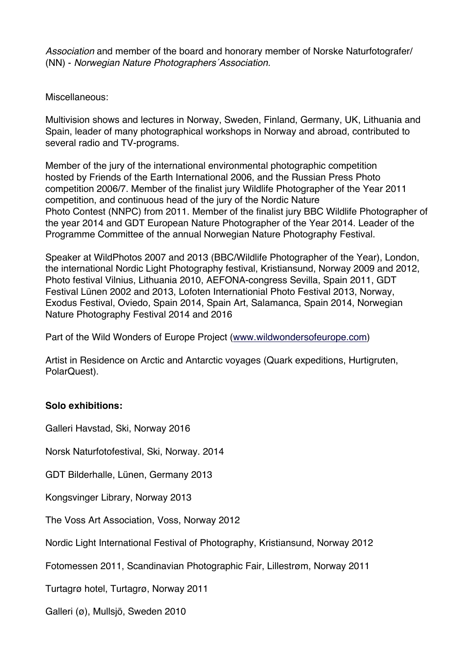*Association* and member of the board and honorary member of Norske Naturfotografer/ (NN) - *Norwegian Nature Photographers´Association.*

Miscellaneous:

Multivision shows and lectures in Norway, Sweden, Finland, Germany, UK, Lithuania and Spain, leader of many photographical workshops in Norway and abroad, contributed to several radio and TV-programs.

Member of the jury of the international environmental photographic competition hosted by Friends of the Earth International 2006, and the Russian Press Photo competition 2006/7. Member of the finalist jury Wildlife Photographer of the Year 2011 competition, and continuous head of the jury of the Nordic Nature Photo Contest (NNPC) from 2011. Member of the finalist jury BBC Wildlife Photographer of the year 2014 and GDT European Nature Photographer of the Year 2014. Leader of the Programme Committee of the annual Norwegian Nature Photography Festival.

Speaker at WildPhotos 2007 and 2013 (BBC/Wildlife Photographer of the Year), London, the international Nordic Light Photography festival, Kristiansund, Norway 2009 and 2012, Photo festival Vilnius, Lithuania 2010, AEFONA-congress Sevilla, Spain 2011, GDT Festival Lünen 2002 and 2013, Lofoten Internationial Photo Festival 2013, Norway, Exodus Festival, Oviedo, Spain 2014, Spain Art, Salamanca, Spain 2014, Norwegian Nature Photography Festival 2014 and 2016

Part of the Wild Wonders of Europe Project (www.wildwondersofeurope.com)

Artist in Residence on Arctic and Antarctic voyages (Quark expeditions, Hurtigruten, PolarQuest).

## **Solo exhibitions:**

Galleri Havstad, Ski, Norway 2016

Norsk Naturfotofestival, Ski, Norway. 2014

GDT Bilderhalle, Lünen, Germany 2013

Kongsvinger Library, Norway 2013

The Voss Art Association, Voss, Norway 2012

Nordic Light International Festival of Photography, Kristiansund, Norway 2012

Fotomessen 2011, Scandinavian Photographic Fair, Lillestrøm, Norway 2011

Turtagrø hotel, Turtagrø, Norway 2011

Galleri (ø), Mullsjö, Sweden 2010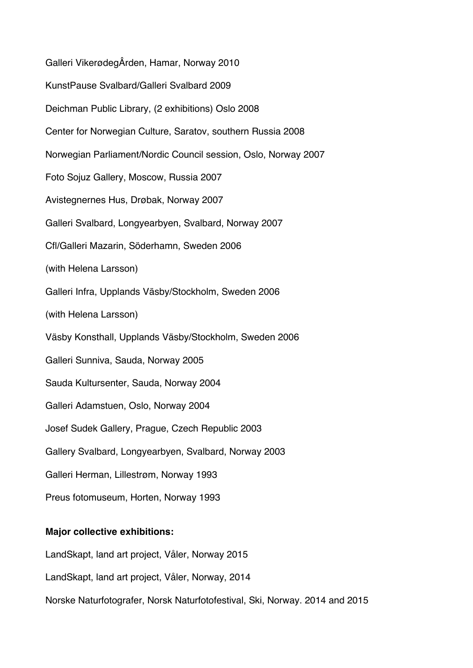Galleri VikerødegÂrden, Hamar, Norway 2010 KunstPause Svalbard/Galleri Svalbard 2009 Deichman Public Library, (2 exhibitions) Oslo 2008 Center for Norwegian Culture, Saratov, southern Russia 2008 Norwegian Parliament/Nordic Council session, Oslo, Norway 2007 Foto Sojuz Gallery, Moscow, Russia 2007 Avistegnernes Hus, Drøbak, Norway 2007 Galleri Svalbard, Longyearbyen, Svalbard, Norway 2007 Cfl/Galleri Mazarin, Söderhamn, Sweden 2006 (with Helena Larsson) Galleri Infra, Upplands Väsby/Stockholm, Sweden 2006 (with Helena Larsson) Väsby Konsthall, Upplands Väsby/Stockholm, Sweden 2006 Galleri Sunniva, Sauda, Norway 2005 Sauda Kultursenter, Sauda, Norway 2004 Galleri Adamstuen, Oslo, Norway 2004 Josef Sudek Gallery, Prague, Czech Republic 2003 Gallery Svalbard, Longyearbyen, Svalbard, Norway 2003 Galleri Herman, Lillestrøm, Norway 1993 Preus fotomuseum, Horten, Norway 1993

#### **Major collective exhibitions:**

LandSkapt, land art project, Våler, Norway 2015

LandSkapt, land art project, Våler, Norway, 2014

Norske Naturfotografer, Norsk Naturfotofestival, Ski, Norway. 2014 and 2015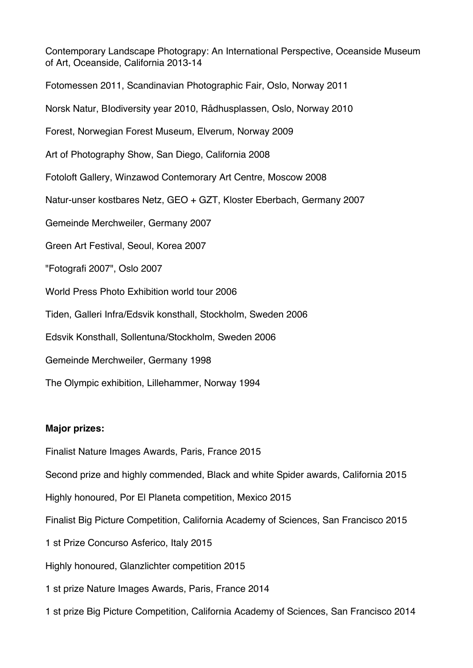Contemporary Landscape Photograpy: An International Perspective, Oceanside Museum of Art, Oceanside, California 2013-14 Fotomessen 2011, Scandinavian Photographic Fair, Oslo, Norway 2011 Norsk Natur, BIodiversity year 2010, Rådhusplassen, Oslo, Norway 2010 Forest, Norwegian Forest Museum, Elverum, Norway 2009 Art of Photography Show, San Diego, California 2008 Fotoloft Gallery, Winzawod Contemorary Art Centre, Moscow 2008 Natur-unser kostbares Netz, GEO + GZT, Kloster Eberbach, Germany 2007 Gemeinde Merchweiler, Germany 2007 Green Art Festival, Seoul, Korea 2007 "Fotografi 2007", Oslo 2007 World Press Photo Exhibition world tour 2006 Tiden, Galleri Infra/Edsvik konsthall, Stockholm, Sweden 2006 Edsvik Konsthall, Sollentuna/Stockholm, Sweden 2006 Gemeinde Merchweiler, Germany 1998 The Olympic exhibition, Lillehammer, Norway 1994

### **Major prizes:**

Finalist Nature Images Awards, Paris, France 2015

Second prize and highly commended, Black and white Spider awards, California 2015

Highly honoured, Por El Planeta competition, Mexico 2015

Finalist Big Picture Competition, California Academy of Sciences, San Francisco 2015

1 st Prize Concurso Asferico, Italy 2015

Highly honoured, Glanzlichter competition 2015

1 st prize Nature Images Awards, Paris, France 2014

1 st prize Big Picture Competition, California Academy of Sciences, San Francisco 2014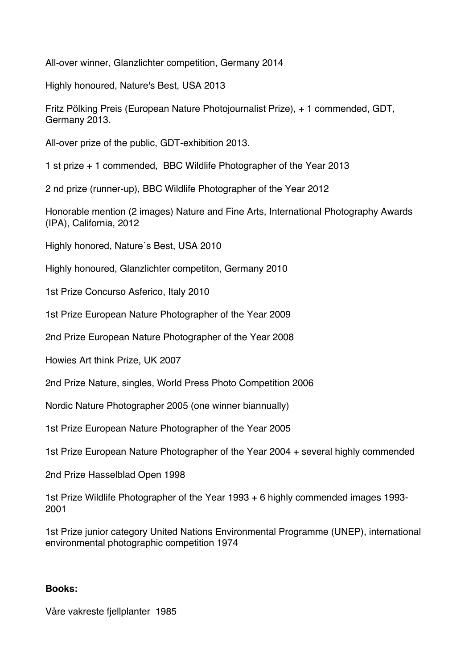All-over winner, Glanzlichter competition, Germany 2014

Highly honoured, Nature's Best, USA 2013

Fritz Pölking Preis (European Nature Photojournalist Prize), + 1 commended, GDT, Germany 2013.

All-over prize of the public, GDT-exhibition 2013.

1 st prize + 1 commended, BBC Wildlife Photographer of the Year 2013

2 nd prize (runner-up), BBC Wildlife Photographer of the Year 2012

Honorable mention (2 images) Nature and Fine Arts, International Photography Awards (IPA), California, 2012

Highly honored, Nature´s Best, USA 2010

Highly honoured, Glanzlichter competiton, Germany 2010

1st Prize Concurso Asferico, Italy 2010

1st Prize European Nature Photographer of the Year 2009

2nd Prize European Nature Photographer of the Year 2008

Howies Art think Prize, UK 2007

2nd Prize Nature, singles, World Press Photo Competition 2006

Nordic Nature Photographer 2005 (one winner biannually)

1st Prize European Nature Photographer of the Year 2005

1st Prize European Nature Photographer of the Year 2004 + several highly commended

2nd Prize Hasselblad Open 1998

1st Prize Wildlife Photographer of the Year 1993 + 6 highly commended images 1993- 2001

1st Prize junior category United Nations Environmental Programme (UNEP), international environmental photographic competition 1974

### **Books:**

Våre vakreste fjellplanter 1985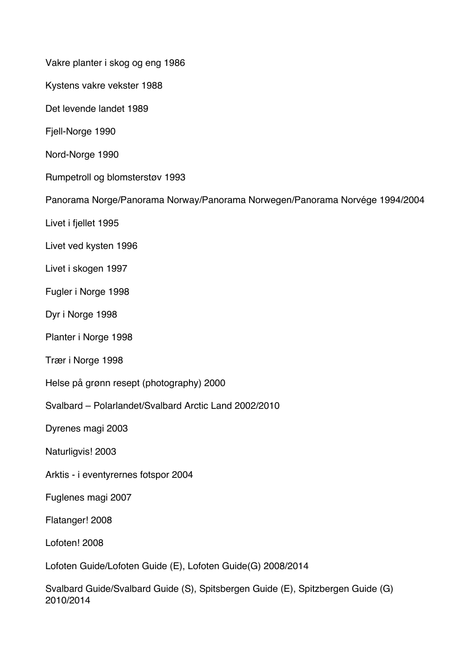Vakre planter i skog og eng 1986

Kystens vakre vekster 1988

Det levende landet 1989

Fjell-Norge 1990

Nord-Norge 1990

Rumpetroll og blomsterstøv 1993

Panorama Norge/Panorama Norway/Panorama Norwegen/Panorama Norvége 1994/2004

Livet i fjellet 1995

Livet ved kysten 1996

Livet i skogen 1997

Fugler i Norge 1998

Dyr i Norge 1998

Planter i Norge 1998

Trær i Norge 1998

Helse på grønn resept (photography) 2000

Svalbard – Polarlandet/Svalbard Arctic Land 2002/2010

Dyrenes magi 2003

Naturligvis! 2003

Arktis - i eventyrernes fotspor 2004

Fuglenes magi 2007

Flatanger! 2008

Lofoten! 2008

Lofoten Guide/Lofoten Guide (E), Lofoten Guide(G) 2008/2014

Svalbard Guide/Svalbard Guide (S), Spitsbergen Guide (E), Spitzbergen Guide (G) 2010/2014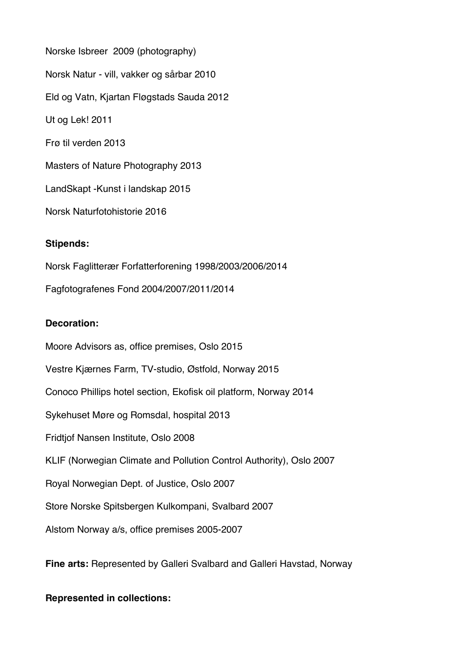Norske Isbreer 2009 (photography) Norsk Natur - vill, vakker og sårbar 2010 Eld og Vatn, Kjartan Fløgstads Sauda 2012 Ut og Lek! 2011 Frø til verden 2013 Masters of Nature Photography 2013 LandSkapt -Kunst i landskap 2015 Norsk Naturfotohistorie 2016

### **Stipends:**

Norsk Faglitterær Forfatterforening 1998/2003/2006/2014 Fagfotografenes Fond 2004/2007/2011/2014

## **Decoration:**

Moore Advisors as, office premises, Oslo 2015 Vestre Kjærnes Farm, TV-studio, Østfold, Norway 2015 Conoco Phillips hotel section, Ekofisk oil platform, Norway 2014 Sykehuset Møre og Romsdal, hospital 2013 Fridtjof Nansen Institute, Oslo 2008 KLIF (Norwegian Climate and Pollution Control Authority), Oslo 2007 Royal Norwegian Dept. of Justice, Oslo 2007 Store Norske Spitsbergen Kulkompani, Svalbard 2007 Alstom Norway a/s, office premises 2005-2007

**Fine arts:** Represented by Galleri Svalbard and Galleri Havstad, Norway

### **Represented in collections:**